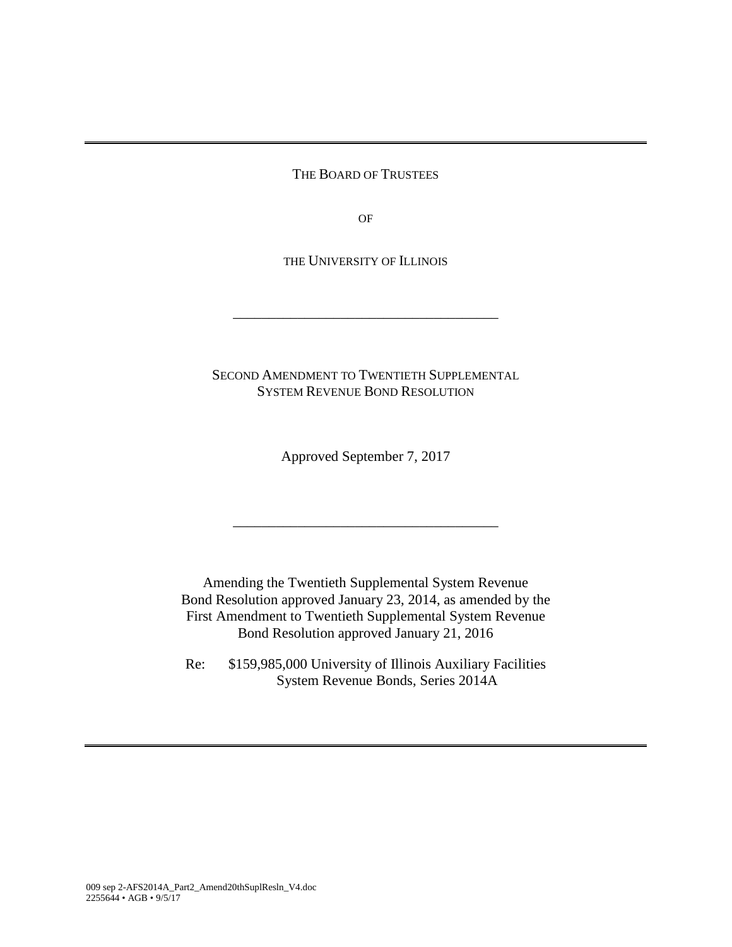THE BOARD OF TRUSTEES

OF

THE UNIVERSITY OF ILLINOIS

\_\_\_\_\_\_\_\_\_\_\_\_\_\_\_\_\_\_\_\_\_\_\_\_\_\_\_\_\_\_\_\_\_\_\_\_\_

SECOND AMENDMENT TO TWENTIETH SUPPLEMENTAL SYSTEM REVENUE BOND RESOLUTION

Approved September 7, 2017

\_\_\_\_\_\_\_\_\_\_\_\_\_\_\_\_\_\_\_\_\_\_\_\_\_\_\_\_\_\_\_\_\_\_\_\_\_

Amending the Twentieth Supplemental System Revenue Bond Resolution approved January 23, 2014, as amended by the First Amendment to Twentieth Supplemental System Revenue Bond Resolution approved January 21, 2016

Re: \$159,985,000 University of Illinois Auxiliary Facilities System Revenue Bonds, Series 2014A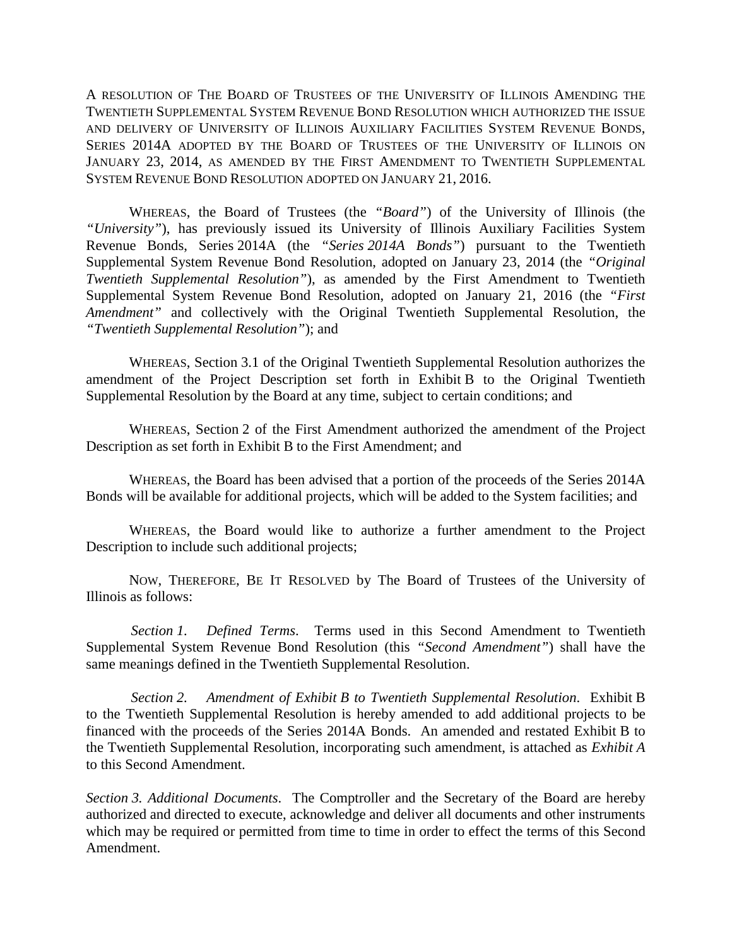A RESOLUTION OF THE BOARD OF TRUSTEES OF THE UNIVERSITY OF ILLINOIS AMENDING THE TWENTIETH SUPPLEMENTAL SYSTEM REVENUE BOND RESOLUTION WHICH AUTHORIZED THE ISSUE AND DELIVERY OF UNIVERSITY OF ILLINOIS AUXILIARY FACILITIES SYSTEM REVENUE BONDS, SERIES 2014A ADOPTED BY THE BOARD OF TRUSTEES OF THE UNIVERSITY OF ILLINOIS ON JANUARY 23, 2014, AS AMENDED BY THE FIRST AMENDMENT TO TWENTIETH SUPPLEMENTAL SYSTEM REVENUE BOND RESOLUTION ADOPTED ON JANUARY 21, 2016.

WHEREAS, the Board of Trustees (the *"Board"*) of the University of Illinois (the *"University"*), has previously issued its University of Illinois Auxiliary Facilities System Revenue Bonds, Series 2014A (the *"Series 2014A Bonds"*) pursuant to the Twentieth Supplemental System Revenue Bond Resolution, adopted on January 23, 2014 (the *"Original Twentieth Supplemental Resolution"*), as amended by the First Amendment to Twentieth Supplemental System Revenue Bond Resolution, adopted on January 21, 2016 (the *"First Amendment"* and collectively with the Original Twentieth Supplemental Resolution, the *"Twentieth Supplemental Resolution"*); and

WHEREAS, Section 3.1 of the Original Twentieth Supplemental Resolution authorizes the amendment of the Project Description set forth in Exhibit B to the Original Twentieth Supplemental Resolution by the Board at any time, subject to certain conditions; and

WHEREAS, Section 2 of the First Amendment authorized the amendment of the Project Description as set forth in Exhibit B to the First Amendment; and

WHEREAS, the Board has been advised that a portion of the proceeds of the Series 2014A Bonds will be available for additional projects, which will be added to the System facilities; and

WHEREAS, the Board would like to authorize a further amendment to the Project Description to include such additional projects;

NOW, THEREFORE, BE IT RESOLVED by The Board of Trustees of the University of Illinois as follows:

*Section 1. Defined Terms*. Terms used in this Second Amendment to Twentieth Supplemental System Revenue Bond Resolution (this *"Second Amendment"*) shall have the same meanings defined in the Twentieth Supplemental Resolution.

*Section 2. Amendment of Exhibit B to Twentieth Supplemental Resolution*. Exhibit B to the Twentieth Supplemental Resolution is hereby amended to add additional projects to be financed with the proceeds of the Series 2014A Bonds. An amended and restated Exhibit B to the Twentieth Supplemental Resolution, incorporating such amendment, is attached as *Exhibit A* to this Second Amendment.

*Section 3. Additional Documents*. The Comptroller and the Secretary of the Board are hereby authorized and directed to execute, acknowledge and deliver all documents and other instruments which may be required or permitted from time to time in order to effect the terms of this Second Amendment.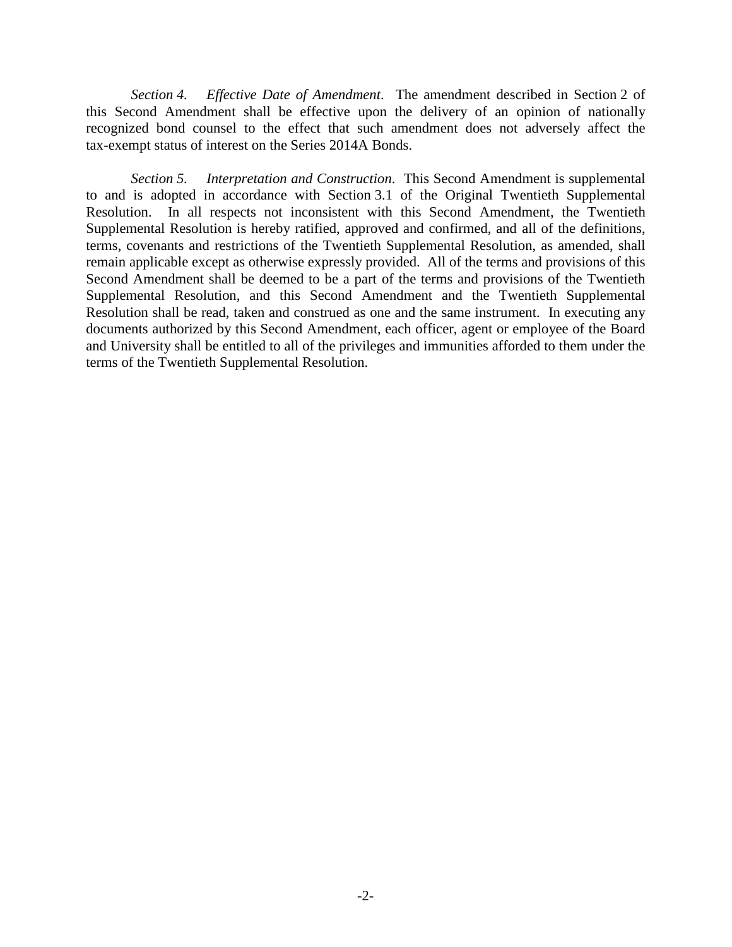*Section 4. Effective Date of Amendment*. The amendment described in Section 2 of this Second Amendment shall be effective upon the delivery of an opinion of nationally recognized bond counsel to the effect that such amendment does not adversely affect the tax-exempt status of interest on the Series 2014A Bonds.

*Section 5. Interpretation and Construction*. This Second Amendment is supplemental to and is adopted in accordance with Section 3.1 of the Original Twentieth Supplemental Resolution. In all respects not inconsistent with this Second Amendment, the Twentieth Supplemental Resolution is hereby ratified, approved and confirmed, and all of the definitions, terms, covenants and restrictions of the Twentieth Supplemental Resolution, as amended, shall remain applicable except as otherwise expressly provided. All of the terms and provisions of this Second Amendment shall be deemed to be a part of the terms and provisions of the Twentieth Supplemental Resolution, and this Second Amendment and the Twentieth Supplemental Resolution shall be read, taken and construed as one and the same instrument. In executing any documents authorized by this Second Amendment, each officer, agent or employee of the Board and University shall be entitled to all of the privileges and immunities afforded to them under the terms of the Twentieth Supplemental Resolution.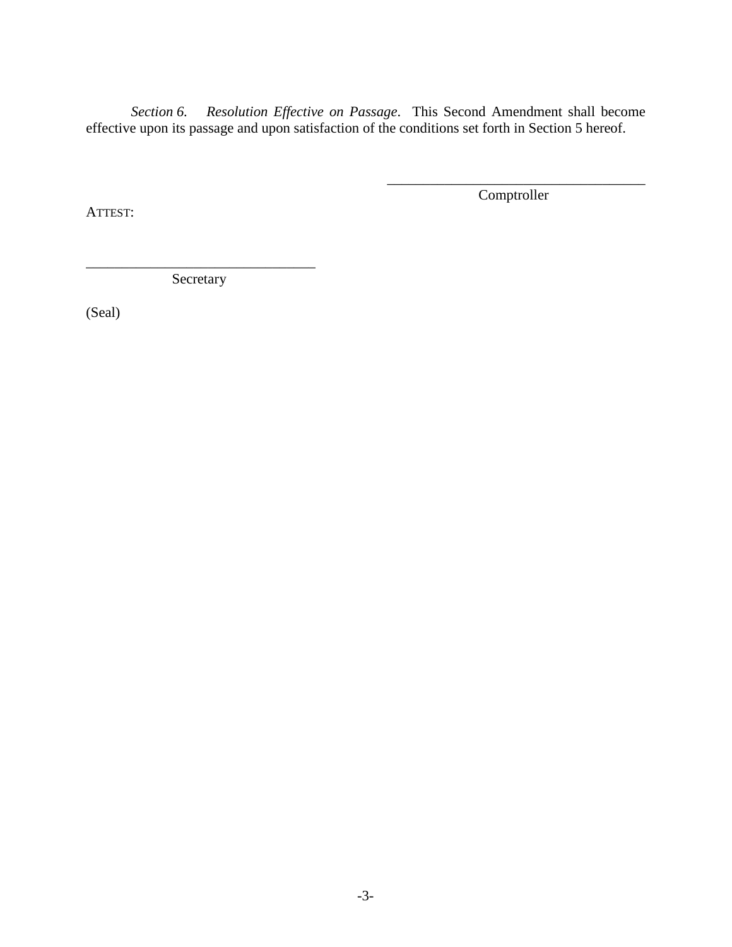*Section 6. Resolution Effective on Passage*. This Second Amendment shall become effective upon its passage and upon satisfaction of the conditions set forth in Section 5 hereof.

ATTEST:

\_\_\_\_\_\_\_\_\_\_\_\_\_\_\_\_\_\_\_\_\_\_\_\_\_\_\_\_\_\_\_\_\_\_\_\_ Comptroller

\_\_\_\_\_\_\_\_\_\_\_\_\_\_\_\_\_\_\_\_\_\_\_\_\_\_\_\_\_\_\_\_ Secretary

(Seal)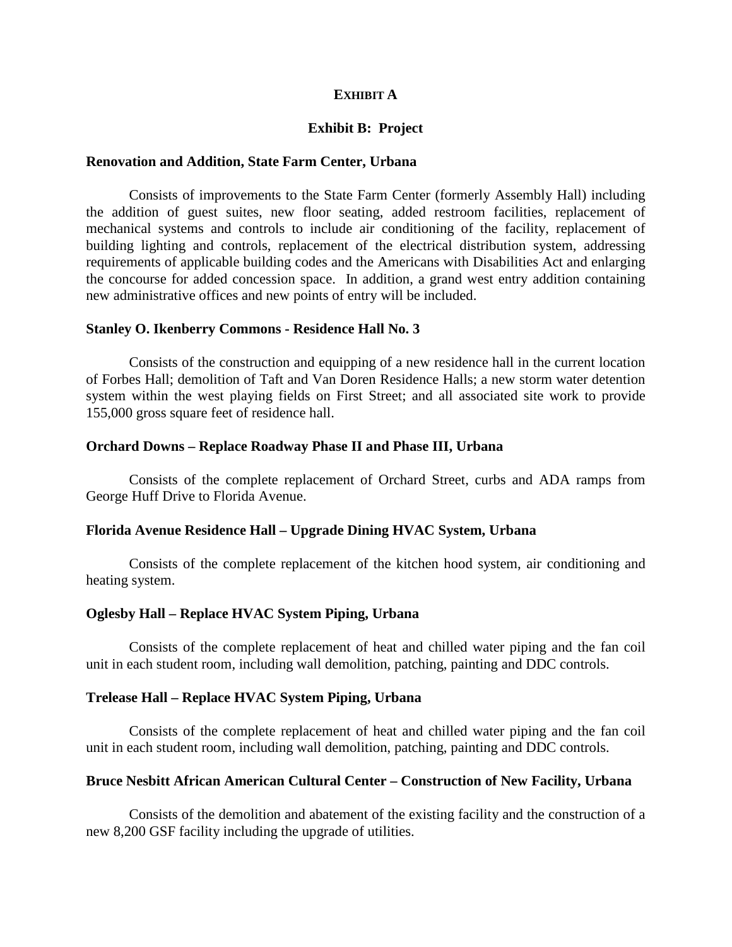## **EXHIBIT A**

## **Exhibit B: Project**

#### **Renovation and Addition, State Farm Center, Urbana**

Consists of improvements to the State Farm Center (formerly Assembly Hall) including the addition of guest suites, new floor seating, added restroom facilities, replacement of mechanical systems and controls to include air conditioning of the facility, replacement of building lighting and controls, replacement of the electrical distribution system, addressing requirements of applicable building codes and the Americans with Disabilities Act and enlarging the concourse for added concession space. In addition, a grand west entry addition containing new administrative offices and new points of entry will be included.

#### **Stanley O. Ikenberry Commons - Residence Hall No. 3**

Consists of the construction and equipping of a new residence hall in the current location of Forbes Hall; demolition of Taft and Van Doren Residence Halls; a new storm water detention system within the west playing fields on First Street; and all associated site work to provide 155,000 gross square feet of residence hall.

#### **Orchard Downs – Replace Roadway Phase II and Phase III, Urbana**

Consists of the complete replacement of Orchard Street, curbs and ADA ramps from George Huff Drive to Florida Avenue.

### **Florida Avenue Residence Hall – Upgrade Dining HVAC System, Urbana**

Consists of the complete replacement of the kitchen hood system, air conditioning and heating system.

### **Oglesby Hall – Replace HVAC System Piping, Urbana**

Consists of the complete replacement of heat and chilled water piping and the fan coil unit in each student room, including wall demolition, patching, painting and DDC controls.

#### **Trelease Hall – Replace HVAC System Piping, Urbana**

Consists of the complete replacement of heat and chilled water piping and the fan coil unit in each student room, including wall demolition, patching, painting and DDC controls.

## **Bruce Nesbitt African American Cultural Center – Construction of New Facility, Urbana**

Consists of the demolition and abatement of the existing facility and the construction of a new 8,200 GSF facility including the upgrade of utilities.